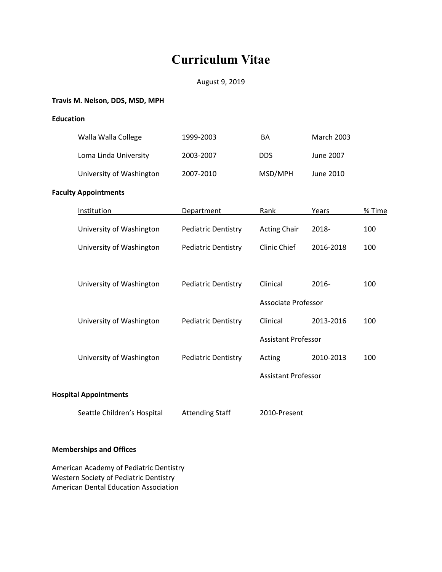# **Curriculum Vitae**

# August 9, 2019

# **Travis M. Nelson, DDS, MSD, MPH**

**Education**

| Walla Walla College         | 1999-2003                  | ΒA                  | <b>March 2003</b> |        |
|-----------------------------|----------------------------|---------------------|-------------------|--------|
| Loma Linda University       | 2003-2007                  | <b>DDS</b>          | June 2007         |        |
| University of Washington    | 2007-2010                  | MSD/MPH             | June 2010         |        |
| <b>Faculty Appointments</b> |                            |                     |                   |        |
| Institution                 | Department                 | Rank                | Years             | % Time |
| University of Washington    | <b>Pediatric Dentistry</b> | <b>Acting Chair</b> | 2018-             | 100    |
| University of Washington    | <b>Pediatric Dentistry</b> | Clinic Chief        | 2016-2018         | 100    |

| University of Washington | <b>Pediatric Dentistry</b> | Clinical                   | $2016 -$  | 100 |
|--------------------------|----------------------------|----------------------------|-----------|-----|
|                          |                            | Associate Professor        |           |     |
| University of Washington | <b>Pediatric Dentistry</b> | Clinical                   | 2013-2016 | 100 |
|                          |                            | <b>Assistant Professor</b> |           |     |
| University of Washington | <b>Pediatric Dentistry</b> | Acting                     | 2010-2013 | 100 |
|                          |                            | <b>Assistant Professor</b> |           |     |

# **Hospital Appointments**

Seattle Children's Hospital Attending Staff 2010-Present

# **Memberships and Offices**

American Academy of Pediatric Dentistry Western Society of Pediatric Dentistry American Dental Education Association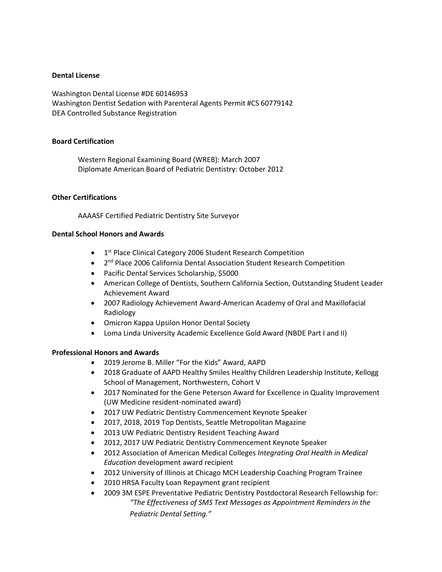#### **Dental License**

Washington Dental License #DE 60146953 Washington Dentist Sedation with Parenteral Agents Permit #CS 60779142 DEA Controlled Substance Registration

#### **Board Certification**

Western Regional Examining Board (WREB): March 2007 Diplomate American Board of Pediatric Dentistry: October 2012

#### **Other Certifications**

AAAASF Certified Pediatric Dentistry Site Surveyor

# **Dental School Honors and Awards**

- 1<sup>st</sup> Place Clinical Category 2006 Student Research Competition
- 2<sup>nd</sup> Place 2006 California Dental Association Student Research Competition
- Pacific Dental Services Scholarship, \$5000
- American College of Dentists, Southern California Section, Outstanding Student Leader Achievement Award
- 2007 Radiology Achievement Award-American Academy of Oral and Maxillofacial Radiology
- Omicron Kappa Upsilon Honor Dental Society
- Loma Linda University Academic Excellence Gold Award (NBDE Part I and II)

# **Professional Honors and Awards**

- 2019 Jerome B. Miller "For the Kids" Award, AAPD
- 2018 Graduate of AAPD Healthy Smiles Healthy Children Leadership Institute, Kellogg School of Management, Northwestern, Cohort V
- 2017 Nominated for the Gene Peterson Award for Excellence in Quality Improvement (UW Medicine resident-nominated award)
- 2017 UW Pediatric Dentistry Commencement Keynote Speaker
- 2017, 2018, 2019 Top Dentists, Seattle Metropolitan Magazine
- 2013 UW Pediatric Dentistry Resident Teaching Award
- 2012, 2017 UW Pediatric Dentistry Commencement Keynote Speaker
- 2012 Association of American Medical Colleges *Integrating Oral Health in Medical Education* development award recipient
- 2012 University of Illinois at Chicago MCH Leadership Coaching Program Trainee
- 2010 HRSA Faculty Loan Repayment grant recipient
- 2009 3M [ESPE Preventative Pediatric Dentistry Postdoctoral Research Fellowship](http://www.aapd.org/foundation/grants.asp#OMNII) for: *"The Effectiveness of SMS Text Messages as Appointment Reminders in the Pediatric Dental Setting."*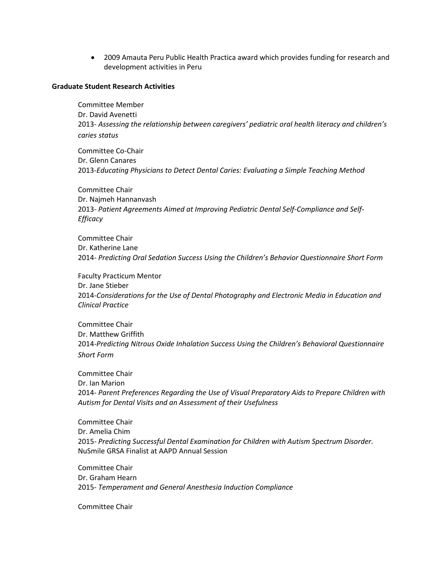2009 Amauta Peru Public Health Practica award which provides funding for research and development activities in Peru

#### **Graduate Student Research Activities**

Committee Member Dr. David Avenetti 2013- *Assessing the relationship between caregivers' pediatric oral health literacy and children's caries status*

Committee Co-Chair Dr. Glenn Canares 2013-*Educating Physicians to Detect Dental Caries: Evaluating a Simple Teaching Method*

Committee Chair Dr. Najmeh Hannanvash 2013- *Patient Agreements Aimed at Improving Pediatric Dental Self-Compliance and Self-Efficacy*

Committee Chair Dr. Katherine Lane 2014- *Predicting Oral Sedation Success Using the Children's Behavior Questionnaire Short Form*

Faculty Practicum Mentor Dr. Jane Stieber 2014-*Considerations for the Use of Dental Photography and Electronic Media in Education and Clinical Practice*

Committee Chair Dr. Matthew Griffith 2014-*Predicting Nitrous Oxide Inhalation Success Using the Children's Behavioral Questionnaire Short Form*

Committee Chair Dr. Ian Marion 2014- *Parent Preferences Regarding the Use of Visual Preparatory Aids to Prepare Children with Autism for Dental Visits and an Assessment of their Usefulness*

Committee Chair Dr. Amelia Chim 2015- *Predicting Successful Dental Examination for Children with Autism Spectrum Disorder.*  NuSmile GRSA Finalist at AAPD Annual Session

Committee Chair Dr. Graham Hearn 2015- *Temperament and General Anesthesia Induction Compliance*

Committee Chair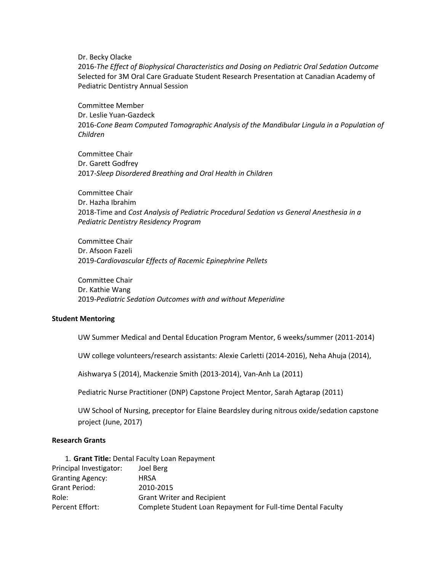Dr. Becky Olacke

2016-*The Effect of Biophysical Characteristics and Dosing on Pediatric Oral Sedation Outcome* Selected for 3M Oral Care Graduate Student Research Presentation at Canadian Academy of Pediatric Dentistry Annual Session

Committee Member Dr. Leslie Yuan-Gazdeck 2016-*Cone Beam Computed Tomographic Analysis of the Mandibular Lingula in a Population of Children*

Committee Chair Dr. Garett Godfrey 2017-*Sleep Disordered Breathing and Oral Health in Children*

Committee Chair Dr. Hazha Ibrahim 2018-Time and *Cost Analysis of Pediatric Procedural Sedation vs General Anesthesia in a Pediatric Dentistry Residency Program*

Committee Chair Dr. Afsoon Fazeli 2019-*Cardiovascular Effects of Racemic Epinephrine Pellets*

Committee Chair Dr. Kathie Wang 2019-*Pediatric Sedation Outcomes with and without Meperidine*

#### **Student Mentoring**

UW Summer Medical and Dental Education Program Mentor, 6 weeks/summer (2011-2014)

UW college volunteers/research assistants: Alexie Carletti (2014-2016), Neha Ahuja (2014),

Aishwarya S (2014), Mackenzie Smith (2013-2014), Van-Anh La (2011)

Pediatric Nurse Practitioner (DNP) Capstone Project Mentor, Sarah Agtarap (2011)

UW School of Nursing, preceptor for Elaine Beardsley during nitrous oxide/sedation capstone project (June, 2017)

# **Research Grants**

1. **Grant Title:** Dental Faculty Loan Repayment

| Principal Investigator: | Joel Berg                                                    |
|-------------------------|--------------------------------------------------------------|
| <b>Granting Agency:</b> | <b>HRSA</b>                                                  |
| Grant Period:           | 2010-2015                                                    |
| Role:                   | <b>Grant Writer and Recipient</b>                            |
| Percent Effort:         | Complete Student Loan Repayment for Full-time Dental Faculty |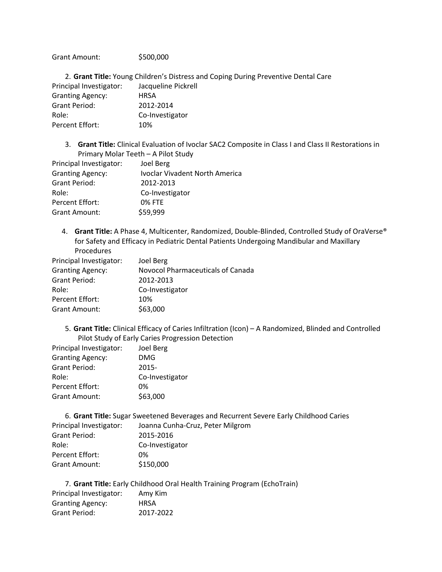Grant Amount: \$500,000

2. **Grant Title:** Young Children's Distress and Coping During Preventive Dental Care Principal Investigator: Jacqueline Pickrell Granting Agency: HRSA Grant Period: 2012-2014 Role: Co-Investigator Percent Effort: 10%

3. **Grant Title:** Clinical Evaluation of Ivoclar SAC2 Composite in Class I and Class II Restorations in Primary Molar Teeth – A Pilot Study

| Principal Investigator: | Joel Berg                             |
|-------------------------|---------------------------------------|
| <b>Granting Agency:</b> | <b>Ivoclar Vivadent North America</b> |
| Grant Period:           | 2012-2013                             |
| Role:                   | Co-Investigator                       |
| Percent Effort:         | <b>0% FTE</b>                         |
| <b>Grant Amount:</b>    | \$59,999                              |

4. **Grant Title:** A Phase 4, Multicenter, Randomized, Double-Blinded, Controlled Study of OraVerse® for Safety and Efficacy in Pediatric Dental Patients Undergoing Mandibular and Maxillary Procedures

| Principal Investigator: | Joel Berg                         |
|-------------------------|-----------------------------------|
| <b>Granting Agency:</b> | Novocol Pharmaceuticals of Canada |
| Grant Period:           | 2012-2013                         |
| Role:                   | Co-Investigator                   |
| Percent Effort:         | 10%                               |
| <b>Grant Amount:</b>    | \$63,000                          |

5. **Grant Title:** Clinical Efficacy of Caries Infiltration (Icon) – A Randomized, Blinded and Controlled Pilot Study of Early Caries Progression Detection

| Principal Investigator: | Joel Berg       |
|-------------------------|-----------------|
| <b>Granting Agency:</b> | DMG             |
| Grant Period:           | 2015-           |
| Role:                   | Co-Investigator |
| Percent Effort:         | በ%              |
| <b>Grant Amount:</b>    | \$63,000        |
|                         |                 |

6. **Grant Title:** Sugar Sweetened Beverages and Recurrent Severe Early Childhood Caries Principal Investigator: Joanna Cunha-Cruz, Peter Milgrom Grant Period: 2015-2016 Role: Co-Investigator Percent Effort: 0% Grant Amount: \$150,000

7. **Grant Title:** Early Childhood Oral Health Training Program (EchoTrain) Principal Investigator: Amy Kim Granting Agency: HRSA Grant Period: 2017-2022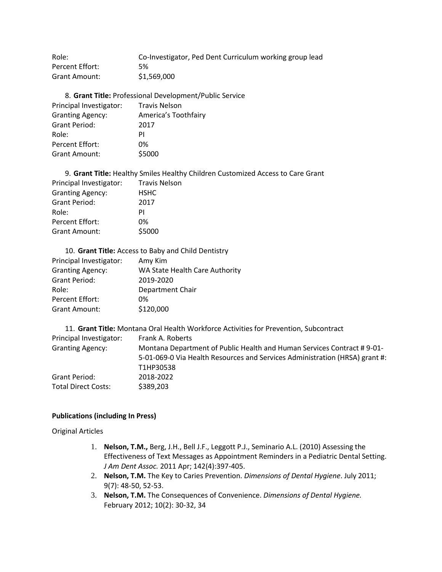Role: Co-Investigator, Ped Dent Curriculum working group lead Percent Effort: 5% Grant Amount: \$1,569,000

8. **Grant Title:** Professional Development/Public Service Principal Investigator: Travis Nelson Granting Agency: America's Toothfairy Grant Period: 2017 Role: PI Percent Effort: 0% Grant Amount: \$5000

| 9. Grant Title: Healthy Smiles Healthy Children Customized Access to Care Grant |                      |  |  |
|---------------------------------------------------------------------------------|----------------------|--|--|
| Principal Investigator:                                                         | <b>Travis Nelson</b> |  |  |
| <b>Granting Agency:</b>                                                         | <b>HSHC</b>          |  |  |
| <b>Grant Period:</b>                                                            | 2017                 |  |  |
| Role:                                                                           | PI                   |  |  |
| Percent Effort:                                                                 | 0%                   |  |  |
| <b>Grant Amount:</b>                                                            | \$5000               |  |  |

| Principal Investigator: | Amy Kim                        |
|-------------------------|--------------------------------|
| <b>Granting Agency:</b> | WA State Health Care Authority |
| Grant Period:           | 2019-2020                      |
| Role:                   | Department Chair               |
| Percent Effort:         | 0%                             |
| Grant Amount:           | \$120,000                      |
|                         |                                |

|                            | 11. Grant Title: Montana Oral Health Workforce Activities for Prevention, Subcontract |
|----------------------------|---------------------------------------------------------------------------------------|
| Principal Investigator:    | Frank A. Roberts                                                                      |
| <b>Granting Agency:</b>    | Montana Department of Public Health and Human Services Contract #9-01-                |
|                            | 5-01-069-0 Via Health Resources and Services Administration (HRSA) grant #:           |
|                            | T1HP30538                                                                             |
| Grant Period:              | 2018-2022                                                                             |
| <b>Total Direct Costs:</b> | \$389,203                                                                             |

#### **Publications (including In Press)**

Original Articles

- 1. **Nelson, T.M.,** Berg, J.H., Bell J.F., Leggott P.J., Seminario A.L. (2010) Assessing the Effectiveness of Text Messages as Appointment Reminders in a Pediatric Dental Setting. *J Am Dent Assoc.* 2011 Apr; 142(4):397-405.
- 2. **Nelson, T.M.** The Key to Caries Prevention. *Dimensions of Dental Hygiene*. July 2011; 9(7): 48-50, 52-53.
- 3. **Nelson, T.M.** The Consequences of Convenience. *Dimensions of Dental Hygiene.*  February 2012; 10(2): 30-32, 34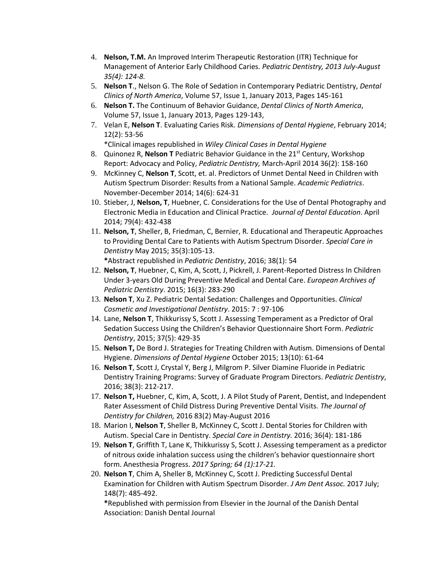- 4. **Nelson, T.M.** An Improved Interim Therapeutic Restoration (ITR) Technique for Management of Anterior Early Childhood Caries. *Pediatric Dentistry, 2013 July-August 35(4): 124-8.*
- 5. **Nelson T**., Nelson G. The Role of Sedation in Contemporary Pediatric Dentistry, *Dental Clinics of North America*, Volume 57, Issue 1, January 2013, Pages 145-161
- 6. **Nelson T.** The Continuum of Behavior Guidance, *Dental Clinics of North America*, Volume 57, Issue 1, January 2013, Pages 129-143,
- 7. Velan E, **Nelson T**. Evaluating Caries Risk. *Dimensions of Dental Hygiene*, February 2014; 12(2): 53-56

\*Clinical images republished in *Wiley Clinical Cases in Dental Hygiene*

- 8. Quinonez R, **Nelson T** Pediatric Behavior Guidance in the 21st Century, Workshop Report: Advocacy and Policy, *Pediatric Dentistry,* March-April 2014 36(2): 158-160
- 9. McKinney C, **Nelson T**, Scott, et. al. Predictors of Unmet Dental Need in Children with Autism Spectrum Disorder: Results from a National Sample. *Academic Pediatrics*. November-December 2014; 14(6): 624-31
- 10. Stieber, J, **Nelson, T**, Huebner, C. Considerations for the Use of Dental Photography and Electronic Media in Education and Clinical Practice. *Journal of Dental Education*. April 2014; 79(4): 432-438
- 11. **Nelson, T**, Sheller, B, Friedman, C, Bernier, R. Educational and Therapeutic Approaches to Providing Dental Care to Patients with Autism Spectrum Disorder. *Special Care in Dentistry* May 2015; 35(3):105-13.

**\***Abstract republished in *Pediatric Dentistry*, 2016; 38(1): 54

- 12. **Nelson, T**, Huebner, C, Kim, A, Scott, J, Pickrell, J. Parent-Reported Distress In Children Under 3-years Old During Preventive Medical and Dental Care. *European Archives of Pediatric Dentistry*. 2015; 16(3): 283-290
- 13. **Nelson T**, Xu Z. Pediatric Dental Sedation: Challenges and Opportunities. *Clinical Cosmetic and Investigational Dentistry*. 2015: 7 : 97-106
- 14. Lane, **Nelson T**, Thikkurissy S, Scott J. Assessing Temperament as a Predictor of Oral Sedation Success Using the Children's Behavior Questionnaire Short Form. *Pediatric Dentistry*, 2015; 37(5): 429-35
- 15. **Nelson T,** De Bord J. Strategies for Treating Children with Autism. Dimensions of Dental Hygiene. *Dimensions of Dental Hygiene* October 2015; 13(10): 61-64
- 16. **Nelson T**, Scott J, Crystal Y, Berg J, Milgrom P. Silver Diamine Fluoride in Pediatric Dentistry Training Programs: Survey of Graduate Program Directors. *Pediatric Dentistry*, 2016; 38(3): 212-217.
- 17. **Nelson T,** Huebner, C, Kim, A, Scott, J. A Pilot Study of Parent, Dentist, and Independent Rater Assessment of Child Distress During Preventive Dental Visits. *The Journal of Dentistry for Children,* 2016 83(2) May-August 2016
- 18. Marion I, **Nelson T**, Sheller B, McKinney C, Scott J. Dental Stories for Children with Autism. Special Care in Dentistry. *Special Care in Dentistry.* 2016; 36(4): 181-186
- 19. **Nelson T**, Griffith T, Lane K, Thikkurissy S, Scott J. Assessing temperament as a predictor of nitrous oxide inhalation success using the children's behavior questionnaire short form. Anesthesia Progress. *2017 Spring; 64 (1):17-21.*
- 20. **Nelson T**, Chim A, Sheller B, McKinney C, Scott J. Predicting Successful Dental Examination for Children with Autism Spectrum Disorder. *J Am Dent Assoc.* 2017 July; 148(7): 485-492.

**\***Republished with permission from Elsevier in the Journal of the Danish Dental Association: Danish Dental Journal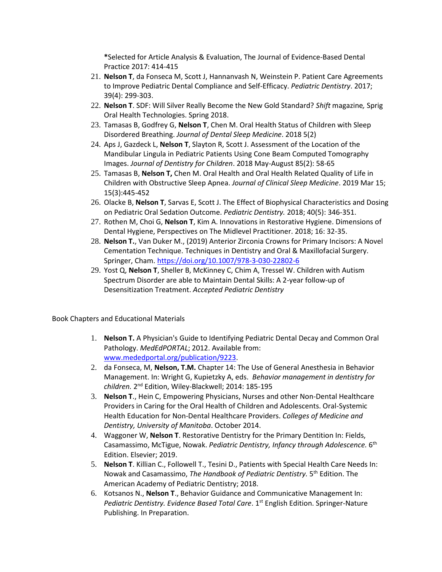**\***Selected for Article Analysis & Evaluation, The Journal of Evidence-Based Dental Practice 2017: 414-415

- 21. **Nelson T**, da Fonseca M, Scott J, Hannanvash N, Weinstein P. Patient Care Agreements to Improve Pediatric Dental Compliance and Self-Efficacy. *Pediatric Dentistry*. 2017; 39(4): 299-303.
- 22. **Nelson T**. SDF: Will Silver Really Become the New Gold Standard? *Shift* magazine*,* Sprig Oral Health Technologies. Spring 2018.
- 23. Tamasas B, Godfrey G, **Nelson T**, Chen M. Oral Health Status of Children with Sleep Disordered Breathing. *Journal of Dental Sleep Medicine*. 2018 5(2)
- 24. Aps J, Gazdeck L, **Nelson T**, Slayton R, Scott J. Assessment of the Location of the Mandibular Lingula in Pediatric Patients Using Cone Beam Computed Tomography Images. *Journal of Dentistry for Children*. 2018 May-August 85(2): 58-65
- 25. Tamasas B, **Nelson T,** Chen M. Oral Health and Oral Health Related Quality of Life in Children with Obstructive Sleep Apnea. *Journal of Clinical Sleep Medicine*. 2019 Mar 15; 15(3):445-452
- 26. Olacke B, **Nelson T**, Sarvas E, Scott J. The Effect of Biophysical Characteristics and Dosing on Pediatric Oral Sedation Outcome. *Pediatric Dentistry.* 2018; 40(5): 346-351.
- 27. Rothen M, Choi G, **Nelson T**, Kim A. Innovations in Restorative Hygiene. Dimensions of Dental Hygiene, Perspectives on The Midlevel Practitioner. 2018; 16: 32-35.
- 28. **Nelson T.**, Van Duker M., (2019) Anterior Zirconia Crowns for Primary Incisors: A Novel Cementation Technique. Techniques in Dentistry and Oral & Maxillofacial Surgery. Springer, Cham[. https://doi.org/10.1007/978-3-030-22802-6](https://doi.org/10.1007/978-3-030-22802-6)
- 29. Yost Q, **Nelson T**, Sheller B, McKinney C, Chim A, Tressel W. Children with Autism Spectrum Disorder are able to Maintain Dental Skills: A 2-year follow-up of Desensitization Treatment. *Accepted Pediatric Dentistry*

Book Chapters and Educational Materials

- 1. **Nelson T.** A Physician's Guide to Identifying Pediatric Dental Decay and Common Oral Pathology. *MedEdPORTAL*; 2012. Available from: [www.mededportal.org/publication/9223.](http://www.mededportal.org/publication/9223)
- 2. da Fonseca, M, **Nelson, T.M.** Chapter 14: The Use of General Anesthesia in Behavior Management. In: Wright G, Kupietzky A, eds. *Behavior management in dentistry for children.* 2 nd Edition, Wiley-Blackwell; 2014: 185-195
- 3. **Nelson T**., Hein C, Empowering Physicians, Nurses and other Non-Dental Healthcare Providers in Caring for the Oral Health of Children and Adolescents. Oral-Systemic Health Education for Non-Dental Healthcare Providers. *Colleges of Medicine and Dentistry, University of Manitoba*. October 2014.
- 4. Waggoner W, **Nelson T**. Restorative Dentistry for the Primary Dentition In: Fields, Casamassimo, McTigue, Nowak. Pediatric Dentistry, Infancy through Adolescence. 6<sup>th</sup> Edition. Elsevier; 2019.
- 5. **Nelson T**. Killian C., Followell T., Tesini D., Patients with Special Health Care Needs In: Nowak and Casamassimo, *The Handbook of Pediatric Dentistry.* 5 th Edition. The American Academy of Pediatric Dentistry; 2018.
- 6. Kotsanos N., **Nelson T**., Behavior Guidance and Communicative Management In: Pediatric Dentistry. Evidence Based Total Care. 1<sup>st</sup> English Edition. Springer-Nature Publishing. In Preparation.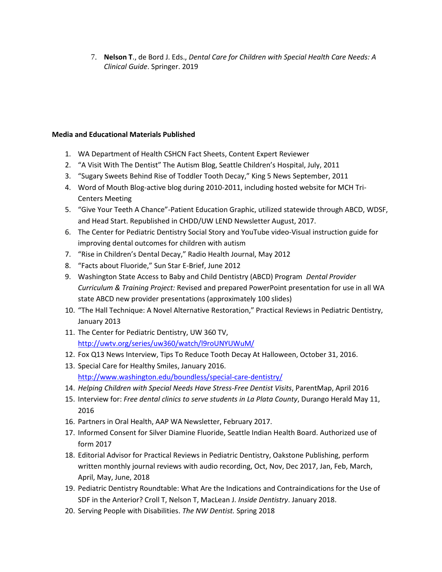7. **Nelson T**., de Bord J. Eds., *Dental Care for Children with Special Health Care Needs: A Clinical Guide*. Springer. 2019

# **Media and Educational Materials Published**

- 1. WA Department of Health CSHCN Fact Sheets, Content Expert Reviewer
- 2. "A Visit With The Dentist" The Autism Blog, Seattle Children's Hospital, July, 2011
- 3. "Sugary Sweets Behind Rise of Toddler Tooth Decay," King 5 News September, 2011
- 4. Word of Mouth Blog-active blog during 2010-2011, including hosted website for MCH Tri-Centers Meeting
- 5. "Give Your Teeth A Chance"-Patient Education Graphic, utilized statewide through ABCD, WDSF, and Head Start. Republished in CHDD/UW LEND Newsletter August, 2017.
- 6. The Center for Pediatric Dentistry Social Story and YouTube video-Visual instruction guide for improving dental outcomes for children with autism
- 7. "Rise in Children's Dental Decay," Radio Health Journal, May 2012
- 8. "Facts about Fluoride," Sun Star E-Brief, June 2012
- 9. Washington State Access to Baby and Child Dentistry (ABCD) Program *Dental Provider Curriculum & Training Project:* Revised and prepared PowerPoint presentation for use in all WA state ABCD new provider presentations (approximately 100 slides)
- 10. "The Hall Technique: A Novel Alternative Restoration," Practical Reviews in Pediatric Dentistry, January 2013
- 11. The Center for Pediatric Dentistry, UW 360 TV, <http://uwtv.org/series/uw360/watch/l9roUNYUWuM/>
- 12. Fox Q13 News Interview, Tips To Reduce Tooth Decay At Halloween, October 31, 2016.
- 13. Special Care for Healthy Smiles, January 2016. <http://www.washington.edu/boundless/special-care-dentistry/>
- 14. *Helping Children with Special Needs Have Stress-Free Dentist Visits*, ParentMap, April 2016
- 15. Interview for: *Free dental clinics to serve students in La Plata County*, Durango Herald May 11, 2016
- 16. Partners in Oral Health, AAP WA Newsletter, February 2017.
- 17. Informed Consent for Silver Diamine Fluoride, Seattle Indian Health Board. Authorized use of form 2017
- 18. Editorial Advisor for Practical Reviews in Pediatric Dentistry, Oakstone Publishing, perform written monthly journal reviews with audio recording, Oct, Nov, Dec 2017, Jan, Feb, March, April, May, June, 2018
- 19. Pediatric Dentistry Roundtable: What Are the Indications and Contraindications for the Use of SDF in the Anterior? Croll T, Nelson T, MacLean J. *Inside Dentistry*. January 2018.
- 20. Serving People with Disabilities. *The NW Dentist.* Spring 2018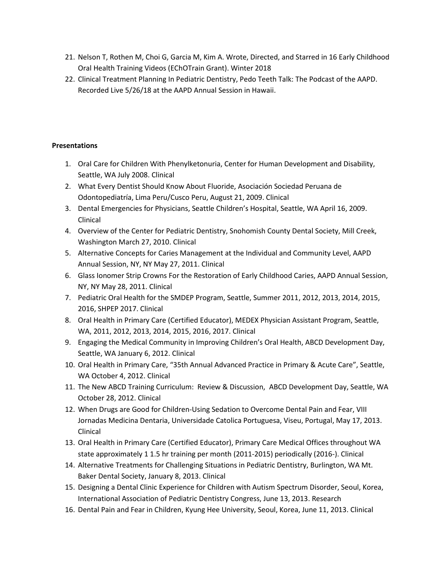- 21. Nelson T, Rothen M, Choi G, Garcia M, Kim A. Wrote, Directed, and Starred in 16 Early Childhood Oral Health Training Videos (EChOTrain Grant). Winter 2018
- 22. Clinical Treatment Planning In Pediatric Dentistry, Pedo Teeth Talk: The Podcast of the AAPD. Recorded Live 5/26/18 at the AAPD Annual Session in Hawaii.

# **Presentations**

- 1. Oral Care for Children With Phenylketonuria, Center for Human Development and Disability, Seattle, WA July 2008. Clinical
- 2. What Every Dentist Should Know About Fluoride, Asociación Sociedad Peruana de Odontopediatría, Lima Peru/Cusco Peru, August 21, 2009. Clinical
- 3. Dental Emergencies for Physicians, Seattle Children's Hospital, Seattle, WA April 16, 2009. Clinical
- 4. Overview of the Center for Pediatric Dentistry, Snohomish County Dental Society, Mill Creek, Washington March 27, 2010. Clinical
- 5. Alternative Concepts for Caries Management at the Individual and Community Level, AAPD Annual Session, NY, NY May 27, 2011. Clinical
- 6. Glass Ionomer Strip Crowns For the Restoration of Early Childhood Caries, AAPD Annual Session, NY, NY May 28, 2011. Clinical
- 7. Pediatric Oral Health for the SMDEP Program, Seattle, Summer 2011, 2012, 2013, 2014, 2015, 2016, SHPEP 2017. Clinical
- 8. Oral Health in Primary Care (Certified Educator), MEDEX Physician Assistant Program, Seattle, WA, 2011, 2012, 2013, 2014, 2015, 2016, 2017. Clinical
- 9. Engaging the Medical Community in Improving Children's Oral Health, ABCD Development Day, Seattle, WA January 6, 2012. Clinical
- 10. Oral Health in Primary Care, "35th Annual Advanced Practice in Primary & Acute Care", Seattle, WA October 4, 2012. Clinical
- 11. The New ABCD Training Curriculum: Review & Discussion, ABCD Development Day, Seattle, WA October 28, 2012. Clinical
- 12. When Drugs are Good for Children-Using Sedation to Overcome Dental Pain and Fear, VIII Jornadas Medicina Dentaria, Universidade Catolica Portuguesa, Viseu, Portugal, May 17, 2013. Clinical
- 13. Oral Health in Primary Care (Certified Educator), Primary Care Medical Offices throughout WA state approximately 1 1.5 hr training per month (2011-2015) periodically (2016-). Clinical
- 14. Alternative Treatments for Challenging Situations in Pediatric Dentistry, Burlington, WA Mt. Baker Dental Society, January 8, 2013. Clinical
- 15. Designing a Dental Clinic Experience for Children with Autism Spectrum Disorder, Seoul, Korea, International Association of Pediatric Dentistry Congress, June 13, 2013. Research
- 16. Dental Pain and Fear in Children, Kyung Hee University, Seoul, Korea, June 11, 2013. Clinical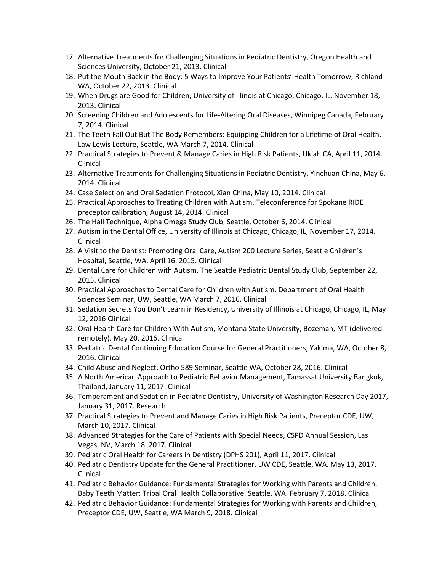- 17. Alternative Treatments for Challenging Situations in Pediatric Dentistry, Oregon Health and Sciences University, October 21, 2013. Clinical
- 18. Put the Mouth Back in the Body: 5 Ways to Improve Your Patients' Health Tomorrow, Richland WA, October 22, 2013. Clinical
- 19. When Drugs are Good for Children, University of Illinois at Chicago, Chicago, IL, November 18, 2013. Clinical
- 20. Screening Children and Adolescents for Life-Altering Oral Diseases, Winnipeg Canada, February 7, 2014. Clinical
- 21. The Teeth Fall Out But The Body Remembers: Equipping Children for a Lifetime of Oral Health, Law Lewis Lecture, Seattle, WA March 7, 2014. Clinical
- 22. Practical Strategies to Prevent & Manage Caries in High Risk Patients, Ukiah CA, April 11, 2014. Clinical
- 23. Alternative Treatments for Challenging Situations in Pediatric Dentistry, Yinchuan China, May 6, 2014. Clinical
- 24. Case Selection and Oral Sedation Protocol, Xian China, May 10, 2014. Clinical
- 25. Practical Approaches to Treating Children with Autism, Teleconference for Spokane RIDE preceptor calibration, August 14, 2014. Clinical
- 26. The Hall Technique, Alpha Omega Study Club, Seattle, October 6, 2014. Clinical
- 27. Autism in the Dental Office, University of Illinois at Chicago, Chicago, IL, November 17, 2014. Clinical
- 28. A Visit to the Dentist: Promoting Oral Care, Autism 200 Lecture Series, Seattle Children's Hospital, Seattle, WA, April 16, 2015. Clinical
- 29. Dental Care for Children with Autism, The Seattle Pediatric Dental Study Club, September 22, 2015. Clinical
- 30. Practical Approaches to Dental Care for Children with Autism, Department of Oral Health Sciences Seminar, UW, Seattle, WA March 7, 2016. Clinical
- 31. Sedation Secrets You Don't Learn in Residency, University of Illinois at Chicago, Chicago, IL, May 12, 2016 Clinical
- 32. Oral Health Care for Children With Autism, Montana State University, Bozeman, MT (delivered remotely), May 20, 2016. Clinical
- 33. Pediatric Dental Continuing Education Course for General Practitioners, Yakima, WA, October 8, 2016. Clinical
- 34. Child Abuse and Neglect, Ortho 589 Seminar, Seattle WA, October 28, 2016. Clinical
- 35. A North American Approach to Pediatric Behavior Management, Tamassat University Bangkok, Thailand, January 11, 2017. Clinical
- 36. Temperament and Sedation in Pediatric Dentistry, University of Washington Research Day 2017, January 31, 2017. Research
- 37. Practical Strategies to Prevent and Manage Caries in High Risk Patients, Preceptor CDE, UW, March 10, 2017. Clinical
- 38. Advanced Strategies for the Care of Patients with Special Needs, CSPD Annual Session, Las Vegas, NV, March 18, 2017. Clinical
- 39. Pediatric Oral Health for Careers in Dentistry (DPHS 201), April 11, 2017. Clinical
- 40. Pediatric Dentistry Update for the General Practitioner, UW CDE, Seattle, WA. May 13, 2017. Clinical
- 41. Pediatric Behavior Guidance: Fundamental Strategies for Working with Parents and Children, Baby Teeth Matter: Tribal Oral Health Collaborative. Seattle, WA. February 7, 2018. Clinical
- 42. Pediatric Behavior Guidance: Fundamental Strategies for Working with Parents and Children, Preceptor CDE, UW, Seattle, WA March 9, 2018. Clinical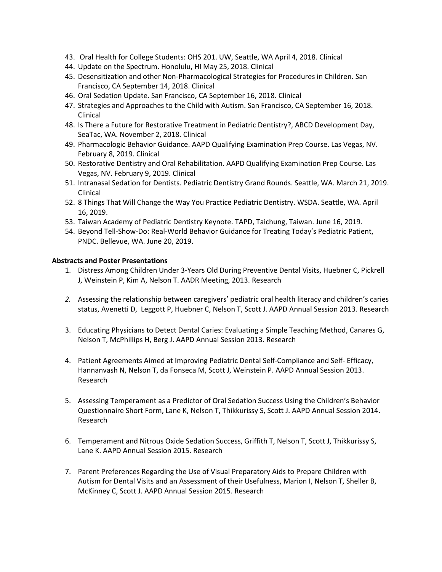- 43. Oral Health for College Students: OHS 201. UW, Seattle, WA April 4, 2018. Clinical
- 44. Update on the Spectrum. Honolulu, HI May 25, 2018. Clinical
- 45. Desensitization and other Non-Pharmacological Strategies for Procedures in Children. San Francisco, CA September 14, 2018. Clinical
- 46. Oral Sedation Update. San Francisco, CA September 16, 2018. Clinical
- 47. Strategies and Approaches to the Child with Autism. San Francisco, CA September 16, 2018. Clinical
- 48. Is There a Future for Restorative Treatment in Pediatric Dentistry?, ABCD Development Day, SeaTac, WA. November 2, 2018. Clinical
- 49. Pharmacologic Behavior Guidance. AAPD Qualifying Examination Prep Course. Las Vegas, NV. February 8, 2019. Clinical
- 50. Restorative Dentistry and Oral Rehabilitation. AAPD Qualifying Examination Prep Course. Las Vegas, NV. February 9, 2019. Clinical
- 51. Intranasal Sedation for Dentists. Pediatric Dentistry Grand Rounds. Seattle, WA. March 21, 2019. Clinical
- 52. 8 Things That Will Change the Way You Practice Pediatric Dentistry. WSDA. Seattle, WA. April 16, 2019.
- 53. Taiwan Academy of Pediatric Dentistry Keynote. TAPD, Taichung, Taiwan. June 16, 2019.
- 54. Beyond Tell-Show-Do: Real-World Behavior Guidance for Treating Today's Pediatric Patient, PNDC. Bellevue, WA. June 20, 2019.

#### **Abstracts and Poster Presentations**

- 1. [Distress Among Children Under 3-Years Old During Preventive Dental Visits,](http://iadr.confex.com/iadr/13iags/webprogram/Paper175332.html) Huebner C, Pickrell J, Weinstein P, Kim A, Nelson T. AADR Meeting, 2013. Research
- *2.* Assessing the relationship between caregivers' pediatric oral health literacy and children's caries status, Avenetti D, Leggott P, Huebner C, Nelson T, Scott J. AAPD Annual Session 2013. Research
- 3. Educating Physicians to Detect Dental Caries: Evaluating a Simple Teaching Method, Canares G, Nelson T, McPhillips H, Berg J. AAPD Annual Session 2013. Research
- 4. Patient Agreements Aimed at Improving Pediatric Dental Self-Compliance and Self- Efficacy, Hannanvash N, Nelson T, da Fonseca M, Scott J, Weinstein P. AAPD Annual Session 2013. Research
- 5. Assessing Temperament as a Predictor of Oral Sedation Success Using the Children's Behavior Questionnaire Short Form, Lane K, Nelson T, Thikkurissy S, Scott J. AAPD Annual Session 2014. Research
- 6. Temperament and Nitrous Oxide Sedation Success, Griffith T, Nelson T, Scott J, Thikkurissy S, Lane K. AAPD Annual Session 2015. Research
- 7. Parent Preferences Regarding the Use of Visual Preparatory Aids to Prepare Children with Autism for Dental Visits and an Assessment of their Usefulness, Marion I, Nelson T, Sheller B, McKinney C, Scott J. AAPD Annual Session 2015. Research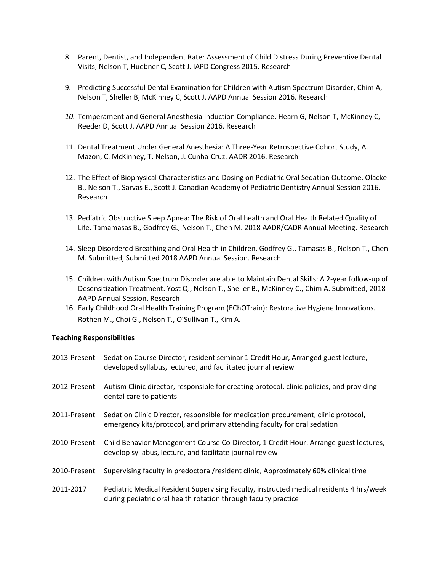- 8. Parent, Dentist, and Independent Rater Assessment of Child Distress During Preventive Dental Visits, Nelson T, Huebner C, Scott J. IAPD Congress 2015. Research
- 9. Predicting Successful Dental Examination for Children with Autism Spectrum Disorder, Chim A, Nelson T, Sheller B, McKinney C, Scott J. AAPD Annual Session 2016. Research
- *10.* Temperament and General Anesthesia Induction Compliance, Hearn G, Nelson T, McKinney C, Reeder D, Scott J. AAPD Annual Session 2016. Research
- 11. Dental Treatment Under General Anesthesia: A Three-Year Retrospective Cohort Study, A. Mazon, C. McKinney, T. Nelson, J. Cunha-Cruz. AADR 2016. Research
- 12. The Effect of Biophysical Characteristics and Dosing on Pediatric Oral Sedation Outcome. Olacke B., Nelson T., Sarvas E., Scott J. Canadian Academy of Pediatric Dentistry Annual Session 2016. Research
- 13. Pediatric Obstructive Sleep Apnea: The Risk of Oral health and Oral Health Related Quality of Life. Tamamasas B., Godfrey G., Nelson T., Chen M. 2018 AADR/CADR Annual Meeting. Research
- 14. Sleep Disordered Breathing and Oral Health in Children. Godfrey G., Tamasas B., Nelson T., Chen M. Submitted, Submitted 2018 AAPD Annual Session. Research
- 15. Children with Autism Spectrum Disorder are able to Maintain Dental Skills: A 2-year follow-up of Desensitization Treatment. Yost Q., Nelson T., Sheller B., McKinney C., Chim A. Submitted, 2018 AAPD Annual Session. Research
- 16. Early Childhood Oral Health Training Program (EChOTrain): Restorative Hygiene Innovations. Rothen M., Choi G., Nelson T., O'Sullivan T., Kim A.

#### **Teaching Responsibilities**

| 2013-Present | Sedation Course Director, resident seminar 1 Credit Hour, Arranged guest lecture,<br>developed syllabus, lectured, and facilitated journal review              |
|--------------|----------------------------------------------------------------------------------------------------------------------------------------------------------------|
| 2012-Present | Autism Clinic director, responsible for creating protocol, clinic policies, and providing<br>dental care to patients                                           |
| 2011-Present | Sedation Clinic Director, responsible for medication procurement, clinic protocol,<br>emergency kits/protocol, and primary attending faculty for oral sedation |
| 2010-Present | Child Behavior Management Course Co-Director, 1 Credit Hour. Arrange guest lectures,<br>develop syllabus, lecture, and facilitate journal review               |
| 2010-Present | Supervising faculty in predoctoral/resident clinic, Approximately 60% clinical time                                                                            |
| 2011-2017    | Pediatric Medical Resident Supervising Faculty, instructed medical residents 4 hrs/week<br>during pediatric oral health rotation through faculty practice      |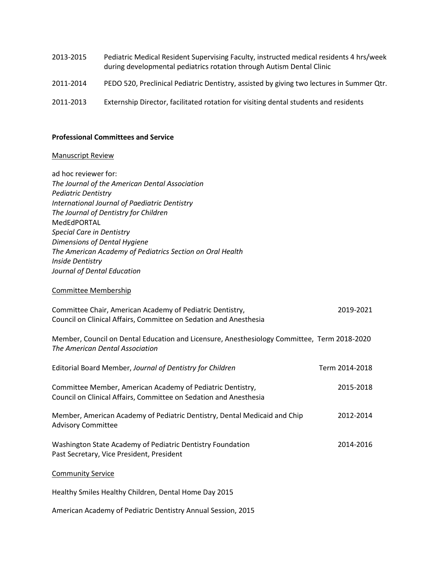- 2013-2015 Pediatric Medical Resident Supervising Faculty, instructed medical residents 4 hrs/week during developmental pediatrics rotation through Autism Dental Clinic 2011-2014 PEDO 520, Preclinical Pediatric Dentistry, assisted by giving two lectures in Summer Qtr.
- 2011-2013 Externship Director, facilitated rotation for visiting dental students and residents

#### **Professional Committees and Service**

# Manuscript Review

| ad hoc reviewer for:<br>The Journal of the American Dental Association<br><b>Pediatric Dentistry</b><br><b>International Journal of Paediatric Dentistry</b><br>The Journal of Dentistry for Children<br>MedEdPORTAL<br><b>Special Care in Dentistry</b><br>Dimensions of Dental Hygiene<br>The American Academy of Pediatrics Section on Oral Health<br><b>Inside Dentistry</b><br>Journal of Dental Education |                |
|-----------------------------------------------------------------------------------------------------------------------------------------------------------------------------------------------------------------------------------------------------------------------------------------------------------------------------------------------------------------------------------------------------------------|----------------|
| <b>Committee Membership</b>                                                                                                                                                                                                                                                                                                                                                                                     |                |
| Committee Chair, American Academy of Pediatric Dentistry,<br>Council on Clinical Affairs, Committee on Sedation and Anesthesia                                                                                                                                                                                                                                                                                  | 2019-2021      |
| Member, Council on Dental Education and Licensure, Anesthesiology Committee, Term 2018-2020<br>The American Dental Association                                                                                                                                                                                                                                                                                  |                |
| Editorial Board Member, Journal of Dentistry for Children                                                                                                                                                                                                                                                                                                                                                       | Term 2014-2018 |
| Committee Member, American Academy of Pediatric Dentistry,<br>Council on Clinical Affairs, Committee on Sedation and Anesthesia                                                                                                                                                                                                                                                                                 | 2015-2018      |
| Member, American Academy of Pediatric Dentistry, Dental Medicaid and Chip<br><b>Advisory Committee</b>                                                                                                                                                                                                                                                                                                          | 2012-2014      |
| Washington State Academy of Pediatric Dentistry Foundation<br>Past Secretary, Vice President, President                                                                                                                                                                                                                                                                                                         | 2014-2016      |
| <b>Community Service</b>                                                                                                                                                                                                                                                                                                                                                                                        |                |
| Healthy Smiles Healthy Children, Dental Home Day 2015                                                                                                                                                                                                                                                                                                                                                           |                |
| American Academy of Pediatric Dentistry Annual Session, 2015                                                                                                                                                                                                                                                                                                                                                    |                |